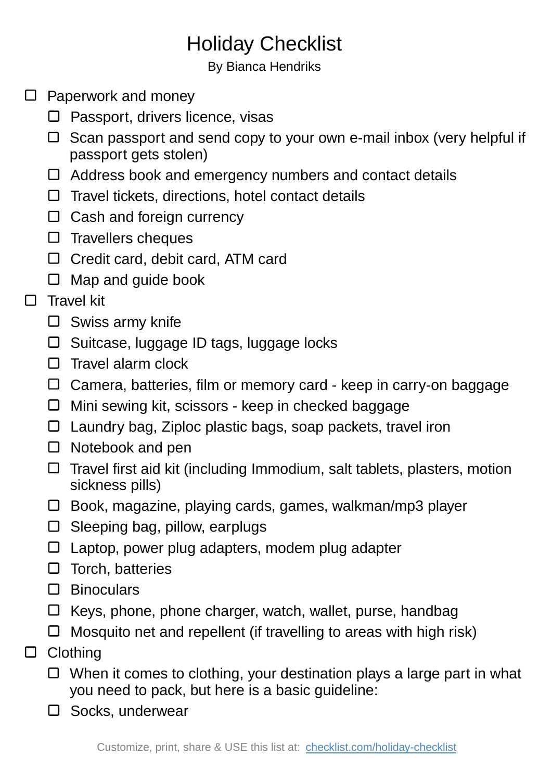## Holiday Checklist

By Bianca Hendriks

- $\square$  Paperwork and money
	- $\square$  Passport, drivers licence, visas
	- $\Box$  Scan passport and send copy to your own e-mail inbox (very helpful if passport gets stolen)
	- Address book and emergency numbers and contact details
	- $\Box$  Travel tickets, directions, hotel contact details
	- $\Box$  Cash and foreign currency
	- $\square$  Travellers cheques
	- □ Credit card, debit card, ATM card
	- $\Box$  Map and guide book
- $\Box$  Travel kit
	- $\square$  Swiss army knife
	- $\Box$  Suitcase, luggage ID tags, luggage locks
	- $\Box$  Travel alarm clock
	- $\Box$  Camera, batteries, film or memory card keep in carry-on baggage
	- $\Box$  Mini sewing kit, scissors keep in checked baggage
	- $\Box$  Laundry bag, Ziploc plastic bags, soap packets, travel iron
	- $\Box$  Notebook and pen
	- $\Box$  Travel first aid kit (including Immodium, salt tablets, plasters, motion sickness pills)
	- $\Box$  Book, magazine, playing cards, games, walkman/mp3 player
	- $\square$  Sleeping bag, pillow, earplugs
	- Laptop, power plug adapters, modem plug adapter
	- $\Box$  Torch, batteries
	- Binoculars
	- $\Box$  Keys, phone, phone charger, watch, wallet, purse, handbag
	- $\Box$  Mosquito net and repellent (if travelling to areas with high risk)
- □ Clothing
	- $\Box$  When it comes to clothing, your destination plays a large part in what you need to pack, but here is a basic guideline:
	- $\square$  Socks, underwear